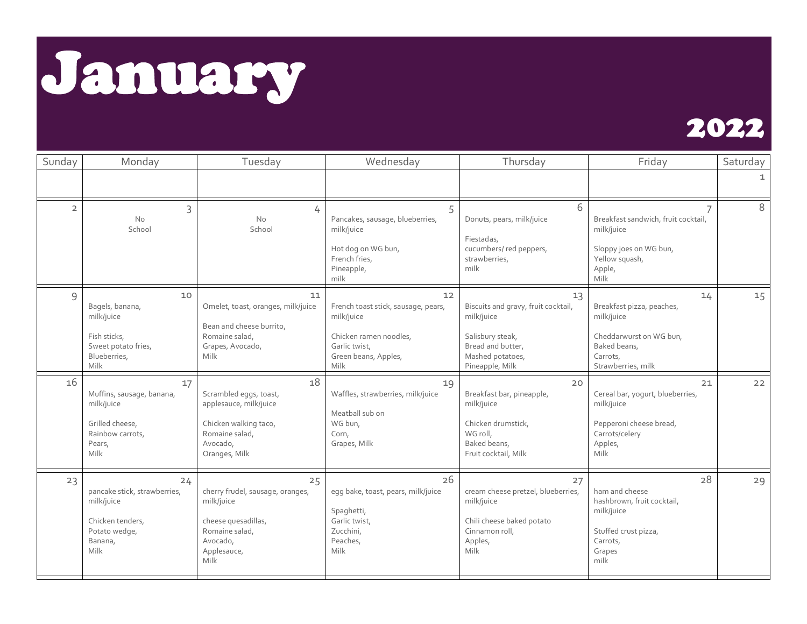January



| Sunday         | Monday                                                                                                   | Tuesday                                                                                                                          | Wednesday                                                                                                                          | Thursday                                                                                                                                | Friday                                                                                                                     | Saturday |
|----------------|----------------------------------------------------------------------------------------------------------|----------------------------------------------------------------------------------------------------------------------------------|------------------------------------------------------------------------------------------------------------------------------------|-----------------------------------------------------------------------------------------------------------------------------------------|----------------------------------------------------------------------------------------------------------------------------|----------|
|                |                                                                                                          |                                                                                                                                  |                                                                                                                                    |                                                                                                                                         |                                                                                                                            |          |
| $\overline{2}$ | 3<br><b>No</b><br>School                                                                                 | 4<br><b>No</b><br>School                                                                                                         | 5<br>Pancakes, sausage, blueberries,<br>milk/juice<br>Hot dog on WG bun,<br>French fries,<br>Pineapple,<br>milk                    | 6<br>Donuts, pears, milk/juice<br>Fiestadas,<br>cucumbers/red peppers,<br>strawberries,<br>milk                                         | Breakfast sandwich, fruit cocktail,<br>milk/juice<br>Sloppy joes on WG bun,<br>Yellow squash,<br>Apple,<br>Milk            | 8        |
| $\mathsf{Q}$   | 10<br>Bagels, banana,<br>milk/juice<br>Fish sticks,<br>Sweet potato fries,<br>Blueberries,<br>Milk       | 11<br>Omelet, toast, oranges, milk/juice<br>Bean and cheese burrito,<br>Romaine salad,<br>Grapes, Avocado,<br><b>Milk</b>        | 12<br>French toast stick, sausage, pears,<br>milk/juice<br>Chicken ramen noodles,<br>Garlic twist.<br>Green beans, Apples,<br>Milk | 13<br>Biscuits and gravy, fruit cocktail,<br>milk/juice<br>Salisbury steak,<br>Bread and butter.<br>Mashed potatoes,<br>Pineapple, Milk | 14<br>Breakfast pizza, peaches,<br>milk/juice<br>Cheddarwurst on WG bun,<br>Baked beans,<br>Carrots,<br>Strawberries, milk | 15       |
| 16             | 17<br>Muffins, sausage, banana,<br>milk/juice<br>Grilled cheese,<br>Rainbow carrots,<br>Pears,<br>Milk   | 18<br>Scrambled eggs, toast,<br>applesauce, milk/juice<br>Chicken walking taco,<br>Romaine salad,<br>Avocado,<br>Oranges, Milk   | 19<br>Waffles, strawberries, milk/juice<br>Meatball sub on<br>WG bun,<br>Corn,<br>Grapes, Milk                                     | 20<br>Breakfast bar, pineapple,<br>milk/juice<br>Chicken drumstick,<br>WG roll,<br>Baked beans,<br>Fruit cocktail, Milk                 | 21<br>Cereal bar, yogurt, blueberries,<br>milk/juice<br>Pepperoni cheese bread,<br>Carrots/celery<br>Apples,<br>Milk       | 22       |
| 23             | 24<br>pancake stick, strawberries,<br>milk/juice<br>Chicken tenders,<br>Potato wedge,<br>Banana,<br>Milk | 25<br>cherry frudel, sausage, oranges,<br>milk/juice<br>cheese quesadillas,<br>Romaine salad,<br>Avocado,<br>Applesauce,<br>Milk | 26<br>egg bake, toast, pears, milk/juice<br>Spaghetti,<br>Garlic twist,<br>Zucchini,<br>Peaches,<br>Milk                           | 27<br>cream cheese pretzel, blueberries,<br>milk/juice<br>Chili cheese baked potato<br>Cinnamon roll,<br>Apples,<br>Milk                | 28<br>ham and cheese<br>hashbrown, fruit cocktail,<br>milk/juice<br>Stuffed crust pizza,<br>Carrots,<br>Grapes<br>milk     | 29       |